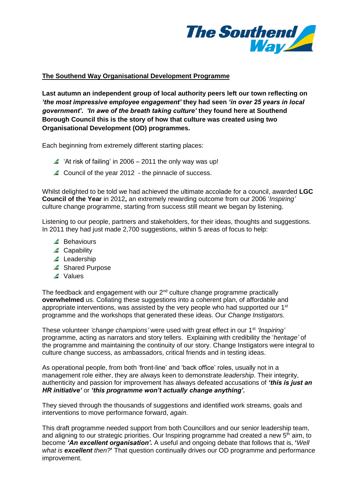

## **The Southend Way Organisational Development Programme**

**Last autumn an independent group of local authority peers left our town reflecting on**  *'the most impressive employee engagement'* **they had seen** *'in over 25 years in local government'***.** *'In awe of the breath taking culture'* **they found here at Southend Borough Council this is the story of how that culture was created using two Organisational Development (OD) programmes.**

Each beginning from extremely different starting places:

- $\blacktriangle$  'At risk of failing' in 2006 2011 the only way was up!
- Council of the year 2012 the pinnacle of success.

Whilst delighted to be told we had achieved the ultimate accolade for a council, awarded **LGC Council of the Year** in 2012**,** an extremely rewarding outcome from our 2006 '*Inspiring'* culture change programme, starting from success still meant we began by listening.

Listening to our people, partners and stakeholders, for their ideas, thoughts and suggestions. In 2011 they had just made 2,700 suggestions, within 5 areas of focus to help:

- Behaviours
- ▲ Capability
- ▲ Leadership
- ▲ Shared Purpose
- ▲ Values

The feedback and engagement with our  $2<sup>nd</sup>$  culture change programme practically **overwhelmed** us. Collating these suggestions into a coherent plan, of affordable and appropriate interventions, was assisted by the very people who had supported our  $1<sup>st</sup>$ programme and the workshops that generated these ideas. Our *Change Instigators.*

These volunteer *'change champions'* were used with great effect in our 1st *'Inspiring'* programme, acting as narrators and story tellers. Explaining with credibility the '*heritage'* of the programme and maintaining the continuity of our story. Change Instigators were integral to culture change success, as ambassadors, critical friends and in testing ideas.

As operational people, from both 'front-line' and 'back office' roles, usually not in a management role either, they are always keen to demonstrate *leadership*. Their integrity, authenticity and passion for improvement has always defeated accusations of *'this is just an HR initiative'* or *'this programme won't actually change anything'.*

They sieved through the thousands of suggestions and identified work streams, goals and interventions to move performance forward, *again*.

This draft programme needed support from both Councillors and our senior leadership team, and aligning to our strategic priorities. Our Inspiring programme had created a new  $5<sup>th</sup>$  aim, to become *'An excellent organisation'.* A useful and ongoing debate that follows that is, **'***Well what is excellent then?***'** That question continually drives our OD programme and performance improvement.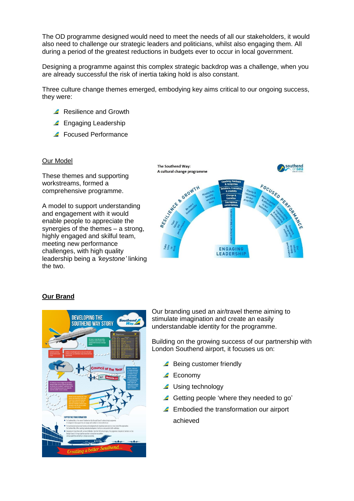The OD programme designed would need to meet the needs of all our stakeholders, it would also need to challenge our strategic leaders and politicians, whilst also engaging them. All during a period of the greatest reductions in budgets ever to occur in local government.

Designing a programme against this complex strategic backdrop was a challenge, when you are already successful the risk of inertia taking hold is also constant.

Three culture change themes emerged, embodying key aims critical to our ongoing success, they were:

- Resilience and Growth
- **Engaging Leadership**
- Focused Performance

### Our Model

These themes and supporting workstreams, formed a comprehensive programme.

A model to support understanding and engagement with it would enable people to appreciate the synergies of the themes – a strong, highly engaged and skilful team, meeting new performance challenges, with high quality leadership being a *'keystone'* linking the two.



### **Our Brand**



Our branding used an air/travel theme aiming to stimulate imagination and create an easily understandable identity for the programme.

Building on the growing success of our partnership with London Southend airport, it focuses us on:

- Being customer friendly
- **▲** Economy
- ▲ Using technology
- **4** Getting people 'where they needed to go'
- **Embodied the transformation our airport** achieved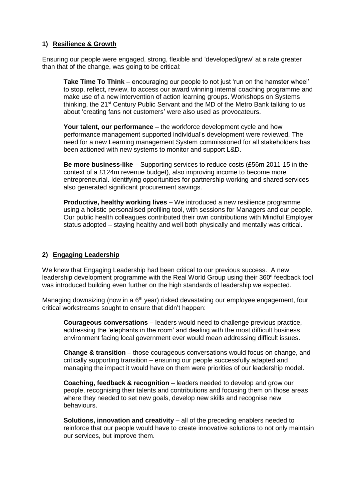## **1) Resilience & Growth**

Ensuring our people were engaged, strong, flexible and 'developed/grew' at a rate greater than that of the change, was going to be critical:

**Take Time To Think** – encouraging our people to not just 'run on the hamster wheel' to stop, reflect, review, to access our award winning internal coaching programme and make use of a new intervention of action learning groups. Workshops on Systems thinking, the 21<sup>st</sup> Century Public Servant and the MD of the Metro Bank talking to us about 'creating fans not customers' were also used as provocateurs.

**Your talent, our performance** – the workforce development cycle and how performance management supported individual's development were reviewed. The need for a new Learning management System commissioned for all stakeholders has been actioned with new systems to monitor and support L&D.

**Be more business-like** – Supporting services to reduce costs (£56m 2011-15 in the context of a £124m revenue budget), also improving income to become more entrepreneurial. Identifying opportunities for partnership working and shared services also generated significant procurement savings.

**Productive, healthy working lives** – We introduced a new resilience programme using a holistic personalised profiling tool, with sessions for Managers and our people. Our public health colleagues contributed their own contributions with Mindful Employer status adopted – staying healthy and well both physically and mentally was critical.

# **2) Engaging Leadership**

We knew that Engaging Leadership had been critical to our previous success. A new leadership development programme with the Real World Group using their 360° feedback tool was introduced building even further on the high standards of leadership we expected.

Managing downsizing (now in a 6<sup>th</sup> year) risked devastating our employee engagement, four critical workstreams sought to ensure that didn't happen:

**Courageous conversations** – leaders would need to challenge previous practice, addressing the 'elephants in the room' and dealing with the most difficult business environment facing local government ever would mean addressing difficult issues.

**Change & transition** – those courageous conversations would focus on change, and critically supporting transition – ensuring our people successfully adapted and managing the impact it would have on them were priorities of our leadership model.

**Coaching, feedback & recognition** – leaders needed to develop and grow our people, recognising their talents and contributions and focusing them on those areas where they needed to set new goals, develop new skills and recognise new behaviours.

**Solutions, innovation and creativity** – all of the preceding enablers needed to reinforce that our people would have to create innovative solutions to not only maintain our services, but improve them.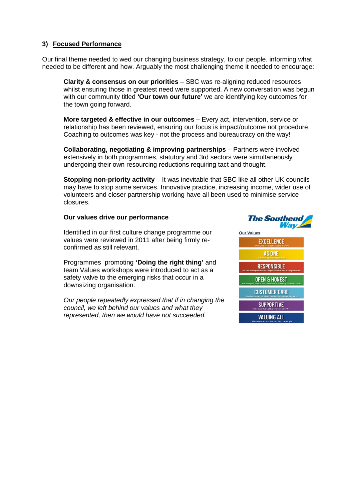## **3) Focused Performance**

Our final theme needed to wed our changing business strategy, to our people. informing what needed to be different and how. Arguably the most challenging theme it needed to encourage:

**Clarity & consensus on our priorities** – SBC was re-aligning reduced resources whilst ensuring those in greatest need were supported. A new conversation was begun with our community titled **'Our town our future'** we are identifying key outcomes for the town going forward.

**More targeted & effective in our outcomes** – Every act, intervention, service or relationship has been reviewed, ensuring our focus is impact/outcome not procedure. Coaching to outcomes was key - not the process and bureaucracy on the way!

**Collaborating, negotiating & improving partnerships** – Partners were involved extensively in both programmes, statutory and 3rd sectors were simultaneously undergoing their own resourcing reductions requiring tact and thought.

**Stopping non-priority activity** – It was inevitable that SBC like all other UK councils may have to stop some services. Innovative practice, increasing income, wider use of volunteers and closer partnership working have all been used to minimise service closures.

### **Our values drive our performance**

Identified in our first culture change programme our values were reviewed in 2011 after being firmly reconfirmed as still relevant.

Programmes promoting **'Doing the right thing'** and team Values workshops were introduced to act as a safety valve to the emerging risks that occur in a downsizing organisation.

*Our people repeatedly expressed that if in changing the council, we left behind our values and what they represented, then we would have not succeeded.*